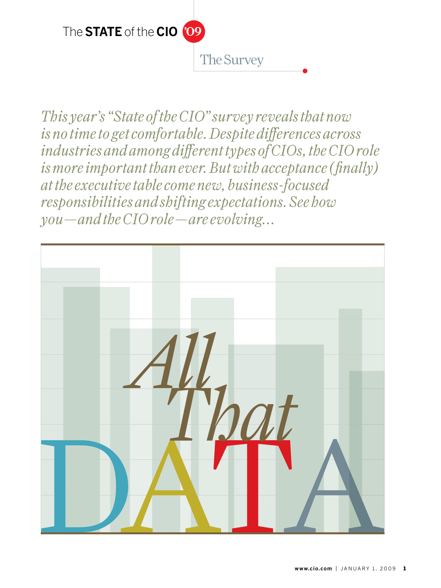

*This year's "State of the CIO" survey reveals that now is no time to get comfortable. Despite differences across industries and among different types of CIOs, the CIO role is more important than ever. But with acceptance (finally) at the executive table come new, business-focused responsibilities and shifting expectations. See how you—and the CIO role—are evolving...*

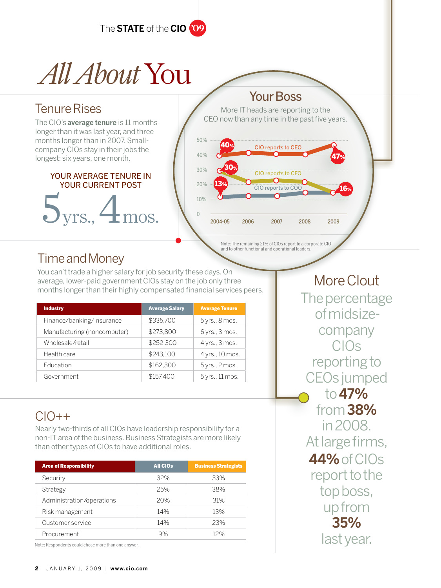

# *All About*You

### Tenure Rises

The CIO's**average tenure** is 11 months longer than it was last year, and three months longer than in 2007. Smallcompany CIOs stay in their jobs the longest: six years, one month.

#### your Average TENURE IN YOUR CURRENT Post

yrs.,  $\blacktriangleleft$ mos.

Your Boss

More IT heads are reporting to the CEO now than any time in the past five years.



## Time and Money

You can't trade a higher salary for job security these days. On average, lower-paid government CIOs stay on the job only three months longer than their highly compensated financial services peers.

| <b>Industry</b>             | <b>Average Salary</b> | <b>Average Tenure</b> |
|-----------------------------|-----------------------|-----------------------|
| Finance/banking/insurance   | \$335,700             | 5 yrs., 8 mos.        |
| Manufacturing (noncomputer) | \$273.800             | 6 yrs., 3 mos.        |
| Wholesale/retail            | \$252.300             | 4 yrs., 3 mos.        |
| Health care                 | \$243.100             | 4 yrs., 10 mos.       |
| <b>Education</b>            | \$162,300             | 5 yrs., 2 mos.        |
| Government                  | \$157.400             | 5 yrs., 11 mos.       |

## $CIO++$

Nearly two-thirds of all CIOs have leadership responsibility for a non-IT area of the business. Business Strategists are more likely than other types of CIOs to have additional roles.

| <b>Area of Responsibility</b>                       | <b>All CIOs</b> | <b>Business Strategists</b> |
|-----------------------------------------------------|-----------------|-----------------------------|
| Security                                            | 32%             | 33%                         |
| Strategy                                            | 25%             | 38%                         |
| Administration/operations                           | 20%             | 31%                         |
| Risk management                                     | 14%             | 13%                         |
| Customer service                                    | 14%             | 23%                         |
| Procurement                                         | 9%              | 12%                         |
| Note: Respondents could chose more than one answer. |                 |                             |

The percentage of midsizecompany CIOs reporting to CEOs jumped to **47%** from **38%**  in 2008. At large firms, **44%** of CIOs report to the top boss, up from **35%** 

More Clout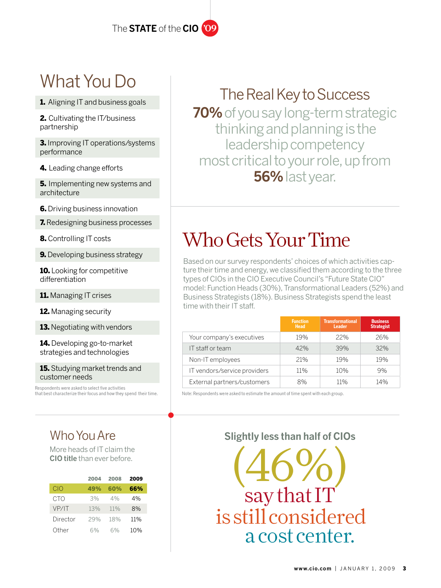## What You Do

1. Aligning IT and business goals

2. Cultivating the IT/business partnership

**3.** Improving IT operations/systems performance

4. Leading change efforts

**5.** Implementing new systems and architecture

**6.** Driving business innovation

**7.** Redesigning business processes

8. Controlling IT costs

**9.** Developing business strategy

10. Looking for competitive differentiation

11. Managing IT crises

12. Managing security

**13.** Negotiating with vendors

14. Developing go-to-market strategies and technologies

**15.** Studying market trends and customer needs

Respondents were asked to select five activities that best characterize their focus and how they spend their time.

## Who You Are

More heads of IT claim the **CIO title** than ever before.

|          | 2004 | 2008 | 2009 |
|----------|------|------|------|
| CIO      | 49%  | 60%  | 66%  |
| CTO      | 3%   | 4%   | 4%   |
| VP/IT    | 13%  | 11%  | 8%   |
| Director | 29%  | 18%  | 11%  |
| ∩ther    | 6%   | 6%   | 10%  |

## The Real Key to Success

**70%** of you say long-term strategic thinking and planning is the leadership competency most critical to your role, up from **56%** last year.

## Who Gets Your Time

Based on our survey respondents' choices of which activities capture their time and energy, we classified them according to the three types of CIOs in the CIO Executive Council's "Future State CIO" model: Function Heads (30%), Transformational Leaders (52%) and Business Strategists (18%). Business Strategists spend the least time with their IT staff.

|                              | <b>Function</b><br><b>Head</b> | <b>Transformational</b><br><b>Leader</b> | <b>Business</b><br><b>Strategist</b> |
|------------------------------|--------------------------------|------------------------------------------|--------------------------------------|
| Your company's executives    | 19%                            | 22%                                      | 26%                                  |
| IT staff or team             | 42%                            | 39%                                      | 32%                                  |
| Non-IT employees             | 21%                            | 19%                                      | 19%                                  |
| IT vendors/service providers | 11%                            | 10%                                      | 9%                                   |
| External partners/customers  | 8%                             | 11%                                      | 14%                                  |

Note: Respondents were asked to estimate the amount of time spent with each group.

### **Slightly less than half of CIOs**

 $(46%)$ say that IT is still considereda cost center.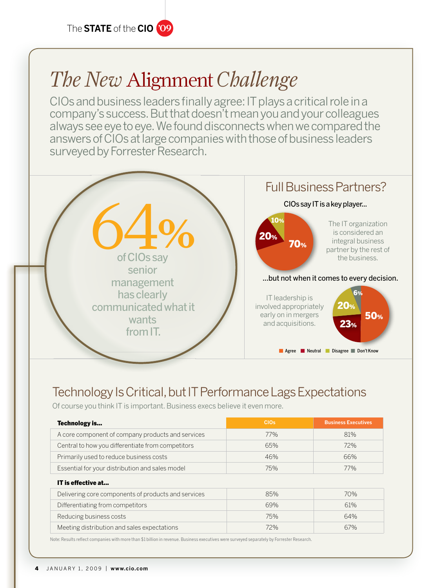## *The New* Alignment *Challenge*

CIOs and business leaders finally agree: IT plays a critical role in a company's success. But that doesn't mean you and your colleagues always see eye to eye. We found disconnects when we compared the answers of CIOs at large companies with those of business leaders surveyed by Forrester Research.



## Technology Is Critical, but IT Performance Lags Expectations

Of course you think IT is important. Business execs believe it even more.

| Technology is                                       | <b>CIOs</b> | <b>Business Executives</b> |
|-----------------------------------------------------|-------------|----------------------------|
| A core component of company products and services   | 77%         | 81%                        |
| Central to how you differentiate from competitors   | 65%         | 72%                        |
| Primarily used to reduce business costs             | 46%         | 66%                        |
| Essential for your distribution and sales model     | 75%         | 77%                        |
| IT is effective at                                  |             |                            |
| Delivering core components of products and services | 85%         | 70%                        |
| Differentiating from competitors                    | 69%         | 61%                        |
| Reducing business costs                             | 75%         | 64%                        |
| Meeting distribution and sales expectations         | 72%         | 67%                        |

Note: Results reflect companies with more than \$1 billion in revenue. Business executives were surveyed separately by Forrester Research.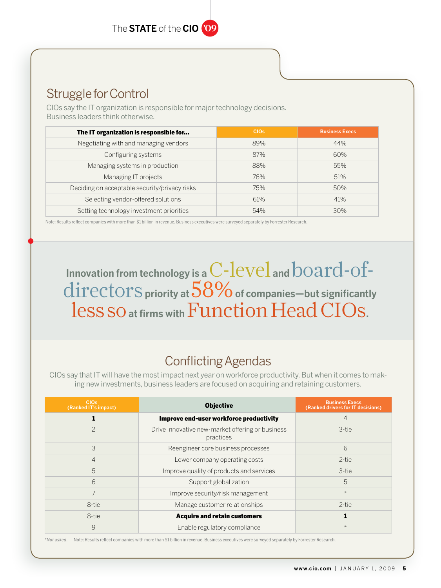## Struggle for Control

CIOs say the IT organization is responsible for major technology decisions. Business leaders think otherwise.

| The IT organization is responsible for        | CIO <sub>s</sub> | <b>Business Execs</b> |
|-----------------------------------------------|------------------|-----------------------|
| Negotiating with and managing vendors         | 89%              | 44%                   |
| Configuring systems                           | 87%              | 60%                   |
| Managing systems in production                | 88%              | 55%                   |
| Managing IT projects                          | 76%              | 51%                   |
| Deciding on acceptable security/privacy risks | 75%              | 50%                   |
| Selecting vendor-offered solutions            | 61%              | 41%                   |
| Setting technology investment priorities      | 54%              | 30%                   |

Note: Results reflect companies with more than \$1 billion in revenue. Business executives were surveyed separately by Forrester Research.

## Innovation from technology is a  $\operatorname{C-level}$  and  $\operatorname{board-of}$  – directors **priority at** 58% **of companies—but significantly**  less so **at firms with** Function Head CIOs**.**

## Conflicting Agendas

CIOs say that IT will have the most impact next year on workforce productivity. But when it comes to making new investments, business leaders are focused on acquiring and retaining customers.

| CIO <sub>s</sub><br>(Ranked IT's impact) | <b>Objective</b>                                              | <b>Business Execs</b><br>(Ranked drivers for IT decisions) |
|------------------------------------------|---------------------------------------------------------------|------------------------------------------------------------|
|                                          | Improve end-user workforce productivity                       | $\overline{4}$                                             |
| $\mathcal{P}$                            | Drive innovative new-market offering or business<br>practices | 3-tie                                                      |
| 3                                        | Reengineer core business processes                            | 6                                                          |
| $\overline{4}$                           | Lower company operating costs                                 | 2-tie                                                      |
| 5                                        | Improve quality of products and services                      | 3-tie                                                      |
| 6                                        | Support globalization                                         | 5                                                          |
| 7                                        | Improve security/risk management                              | $\ast$                                                     |
| 8-tie                                    | Manage customer relationships                                 | 2-tie                                                      |
| 8-tie                                    | <b>Acquire and retain customers</b>                           |                                                            |
| 9                                        | Enable regulatory compliance                                  | $\ast$                                                     |

\**Not asked.* Note: Results reflect companies with more than \$1 billion in revenue. Business executives were surveyed separately by Forrester Research.